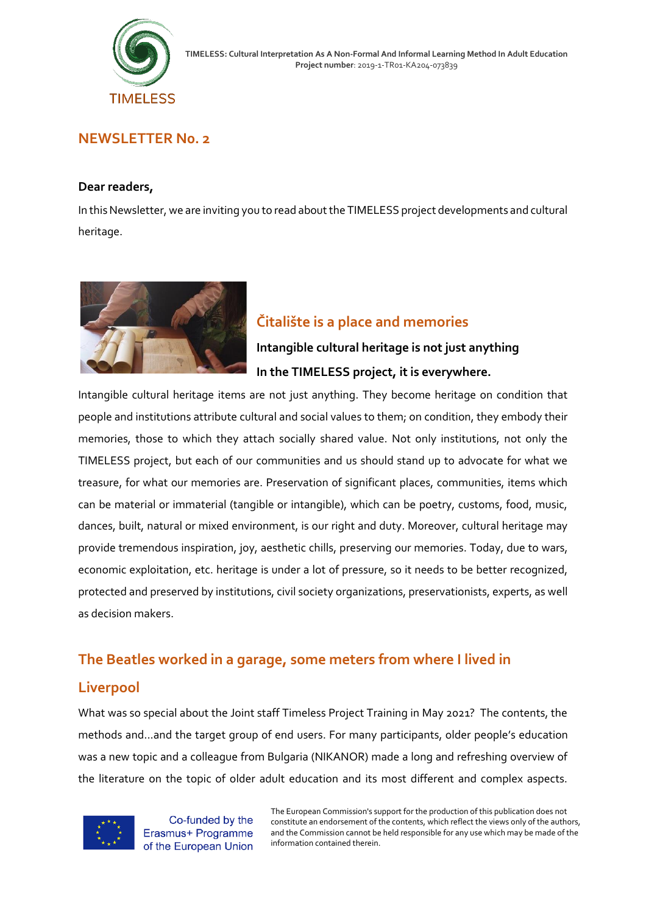

### **NEWSLETTER N0. 2**

#### **Dear readers,**

In this Newsletter, we are inviting you to read about the TIMELESS project developments and cultural heritage.



## **Čitalište is a place and memories**

# **Intangible cultural heritage is not just anything In the TIMELESS project, it is everywhere.**

Intangible cultural heritage items are not just anything. They become heritage on condition that people and institutions attribute cultural and social values to them; on condition, they embody their memories, those to which they attach socially shared value. Not only institutions, not only the TIMELESS project, but each of our communities and us should stand up to advocate for what we treasure, for what our memories are. Preservation of significant places, communities, items which can be material or immaterial (tangible or intangible), which can be poetry, customs, food, music, dances, built, natural or mixed environment, is our right and duty. Moreover, cultural heritage may provide tremendous inspiration, joy, aesthetic chills, preserving our memories. Today, due to wars, economic exploitation, etc. heritage is under a lot of pressure, so it needs to be better recognized, protected and preserved by institutions, civil society organizations, preservationists, experts, as well as decision makers.

## **The Beatles worked in a garage, some meters from where I lived in**

## **Liverpool**

What was so special about the Joint staff Timeless Project Training in May 2021? The contents, the methods and...and the target group of end users. For many participants, older people's education was a new topic and a colleague from Bulgaria (NIKANOR) made a long and refreshing overview of the literature on the topic of older adult education and its most different and complex aspects.



Co-funded by the Erasmus+ Programme of the European Union

The European Commission's support for the production of this publication does not constitute an endorsement of the contents, which reflect the views only of the authors, and the Commission cannot be held responsible for any use which may be made of the information contained therein.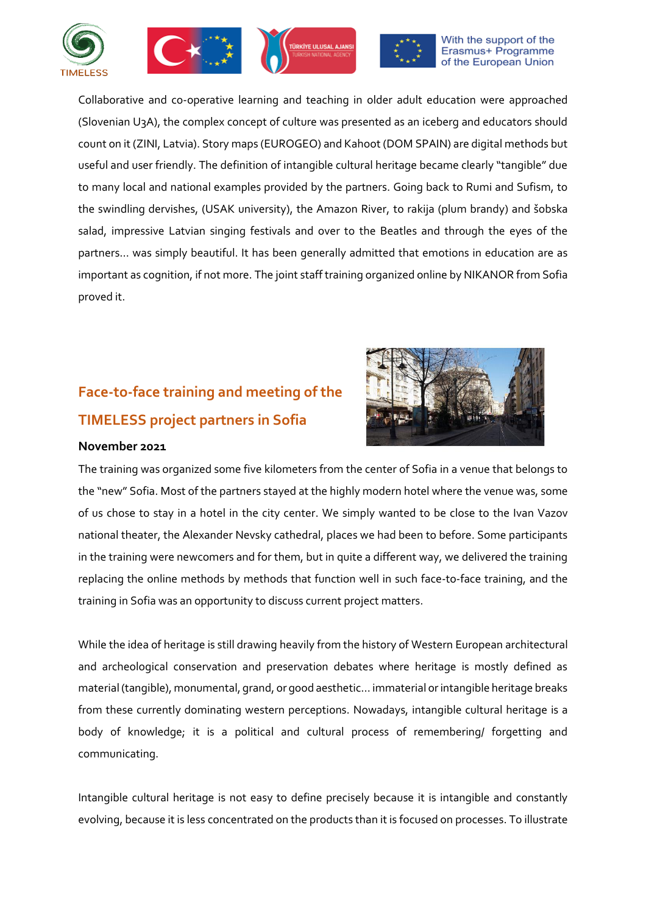







Collaborative and co-operative learning and teaching in older adult education were approached (Slovenian U3A), the complex concept of culture was presented as an iceberg and educators should count on it (ZINI, Latvia). Story maps (EUROGEO) and Kahoot (DOM SPAIN) are digital methods but useful and user friendly. The definition of intangible cultural heritage became clearly "tangible" due to many local and national examples provided by the partners. Going back to Rumi and Sufism, to the swindling dervishes, (USAK university), the Amazon River, to rakija (plum brandy) and šobska salad, impressive Latvian singing festivals and over to the Beatles and through the eyes of the partners… was simply beautiful. It has been generally admitted that emotions in education are as important as cognition, if not more. The joint staff training organized online by NIKANOR from Sofia proved it.

# **Face-to-face training and meeting of the TIMELESS project partners in Sofia**



### **November 2021**

The training was organized some five kilometers from the center of Sofia in a venue that belongs to the "new" Sofia. Most of the partners stayed at the highly modern hotel where the venue was, some of us chose to stay in a hotel in the city center. We simply wanted to be close to the Ivan Vazov national theater, the Alexander Nevsky cathedral, places we had been to before. Some participants in the training were newcomers and for them, but in quite a different way, we delivered the training replacing the online methods by methods that function well in such face-to-face training, and the training in Sofia was an opportunity to discuss current project matters.

While the idea of heritage is still drawing heavily from the history of Western European architectural and archeological conservation and preservation debates where heritage is mostly defined as material (tangible), monumental, grand, or good aesthetic… immaterial or intangible heritage breaks from these currently dominating western perceptions. Nowadays, intangible cultural heritage is a body of knowledge; it is a political and cultural process of remembering/ forgetting and communicating.

Intangible cultural heritage is not easy to define precisely because it is intangible and constantly evolving, because it is less concentrated on the products than it is focused on processes. To illustrate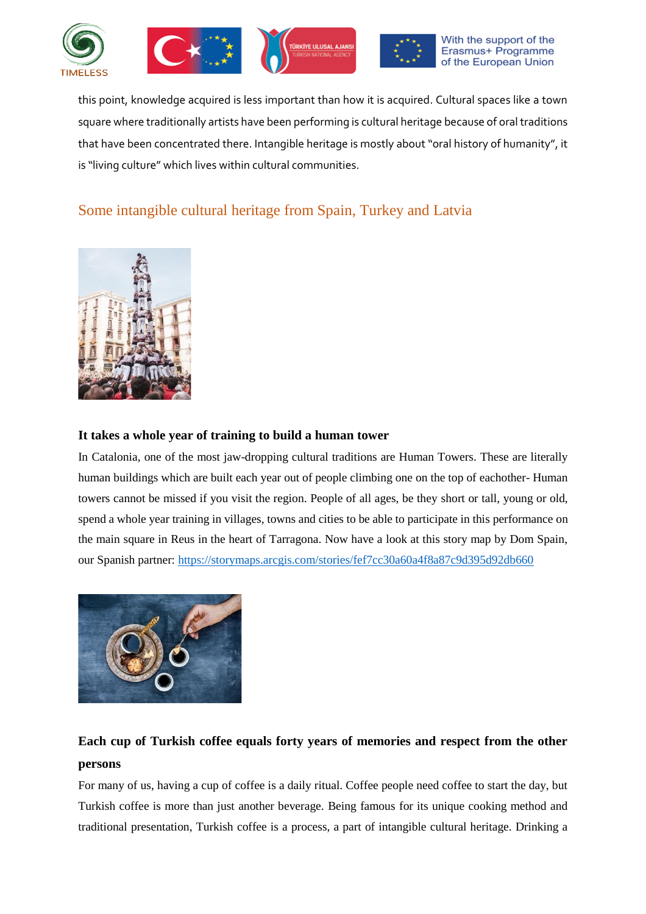







this point, knowledge acquired is less important than how it is acquired. Cultural spaces like a town square where traditionally artists have been performing is cultural heritage because of oral traditions that have been concentrated there. Intangible heritage is mostly about "oral history of humanity", it is "living culture" which lives within cultural communities.

# Some intangible cultural heritage from Spain, Turkey and Latvia



### **It takes a whole year of training to build a human tower**

In Catalonia, one of the most jaw-dropping cultural traditions are Human Towers. These are literally human buildings which are built each year out of people climbing one on the top of eachother- Human towers cannot be missed if you visit the region. People of all ages, be they short or tall, young or old, spend a whole year training in villages, towns and cities to be able to participate in this performance on the main square in Reus in the heart of Tarragona. Now have a look at this story map by Dom Spain, our Spanish partner:<https://storymaps.arcgis.com/stories/fef7cc30a60a4f8a87c9d395d92db660>



# **Each cup of Turkish coffee equals forty years of memories and respect from the other persons**

For many of us, having a cup of coffee is a daily ritual. Coffee people need coffee to start the day, but Turkish coffee is more than just another beverage. Being famous for its unique cooking method and traditional presentation, Turkish coffee is a process, a part of intangible cultural heritage. Drinking a